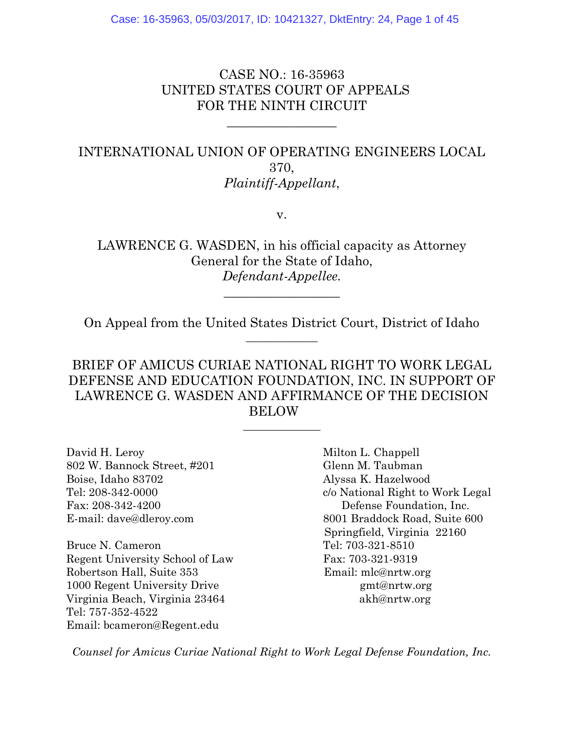CASE NO.: 16-35963 UNITED STATES COURT OF APPEALS FOR THE NINTH CIRCUIT

\_\_\_\_\_\_\_\_\_\_\_\_\_\_\_\_\_

INTERNATIONAL UNION OF OPERATING ENGINEERS LOCAL 370, *Plaintiff-Appellant*,

v.

LAWRENCE G. WASDEN, in his official capacity as Attorney General for the State of Idaho, *Defendant-Appellee.*

On Appeal from the United States District Court, District of Idaho  $\overline{\phantom{a}}$  , where  $\overline{\phantom{a}}$ 

\_\_\_\_\_\_\_\_\_\_\_\_\_\_\_\_\_\_

BRIEF OF AMICUS CURIAE NATIONAL RIGHT TO WORK LEGAL DEFENSE AND EDUCATION FOUNDATION, INC. IN SUPPORT OF LAWRENCE G. WASDEN AND AFFIRMANCE OF THE DECISION BELOW

 $\overline{\phantom{a}}$  , where  $\overline{\phantom{a}}$ 

David H. Leroy Milton L. Chappell 802 W. Bannock Street, #201 Glenn M. Taubman Boise, Idaho 83702 Alyssa K. Hazelwood Fax: 208-342-4200 Defense Foundation, Inc.

Bruce N. Cameron Tel: 703-321-8510 Regent University School of Law Fax: 703-321-9319 Robertson Hall, Suite 353 Email: mlc@nrtw.org 1000 Regent University Drive gmt@nrtw.org Virginia Beach, Virginia 23464 akh@nrtw.org Tel: 757-352-4522 Email: bcameron@Regent.edu

Tel: 208-342-0000 c/o National Right to Work Legal E-mail: dave@dleroy.com 8001 Braddock Road, Suite 600 Springfield, Virginia 22160

*Counsel for Amicus Curiae National Right to Work Legal Defense Foundation, Inc.*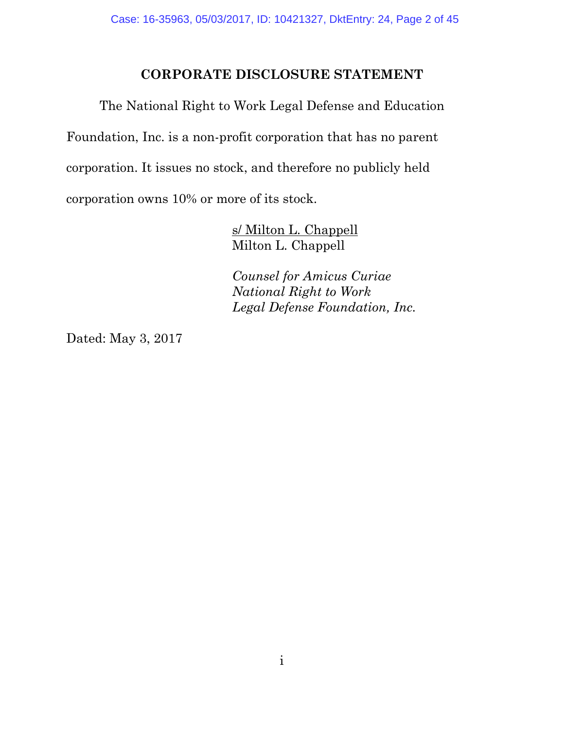### **CORPORATE DISCLOSURE STATEMENT**

 The National Right to Work Legal Defense and Education Foundation, Inc. is a non-profit corporation that has no parent corporation. It issues no stock, and therefore no publicly held corporation owns 10% or more of its stock.

> s/ Milton L. Chappell Milton L. Chappell

 *Counsel for Amicus Curiae National Right to Work Legal Defense Foundation, Inc.* 

Dated: May 3, 2017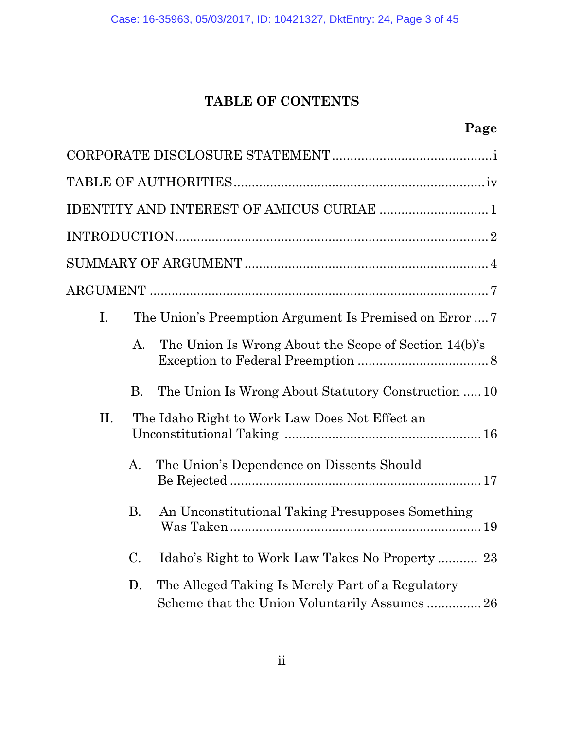## **TABLE OF CONTENTS**

|     |           | IDENTITY AND INTEREST OF AMICUS CURIAE  1                                                        |
|-----|-----------|--------------------------------------------------------------------------------------------------|
|     |           |                                                                                                  |
|     |           |                                                                                                  |
|     |           |                                                                                                  |
| I.  |           | The Union's Preemption Argument Is Premised on Error  7                                          |
|     | A.        | The Union Is Wrong About the Scope of Section 14(b)'s                                            |
|     | В.        | The Union Is Wrong About Statutory Construction  10                                              |
| II. |           | The Idaho Right to Work Law Does Not Effect an                                                   |
|     | A.        | The Union's Dependence on Dissents Should                                                        |
|     | <b>B.</b> | An Unconstitutional Taking Presupposes Something                                                 |
|     | C.        | Idaho's Right to Work Law Takes No Property  23                                                  |
|     | D.        | The Alleged Taking Is Merely Part of a Regulatory<br>Scheme that the Union Voluntarily Assumes26 |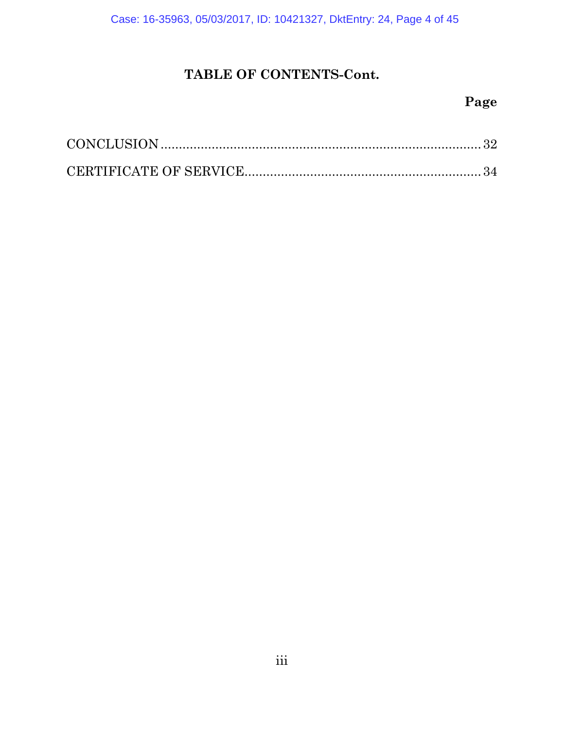Case: 16-35963, 05/03/2017, ID: 10421327, DktEntry: 24, Page 4 of 45

## **TABLE OF CONTENTS-Cont.**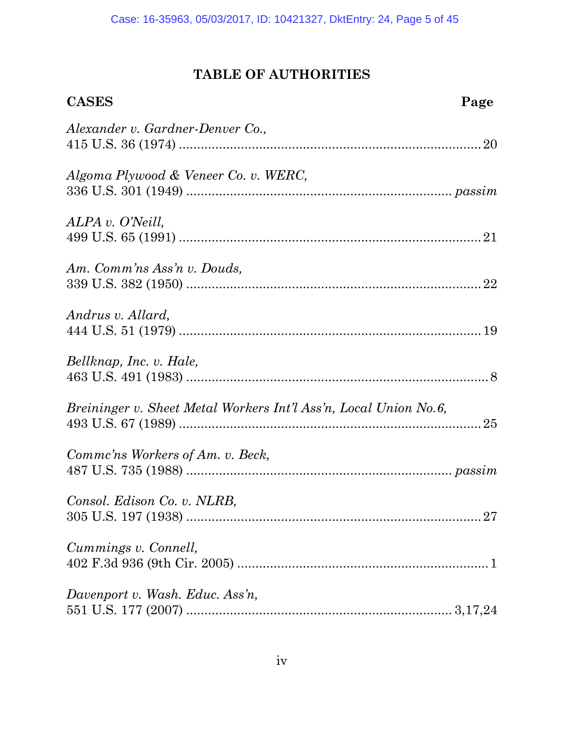## **TABLE OF AUTHORITIES**

| <b>CASES</b>                                                     | Page |
|------------------------------------------------------------------|------|
| Alexander v. Gardner-Denver Co.,                                 |      |
| Algoma Plywood & Veneer Co. v. WERC,                             |      |
| ALPA v. O'Neill,                                                 |      |
| Am. Comm'ns Ass'n v. Douds,                                      |      |
| Andrus v. Allard,                                                |      |
| Bellknap, Inc. v. Hale,                                          |      |
| Breininger v. Sheet Metal Workers Int'l Ass'n, Local Union No.6, |      |
| Commc'ns Workers of Am. v. Beck,                                 |      |
| Consol. Edison Co. v. NLRB,                                      |      |
| Cummings v. Connell,                                             |      |
| Davenport v. Wash. Educ. Ass'n,                                  |      |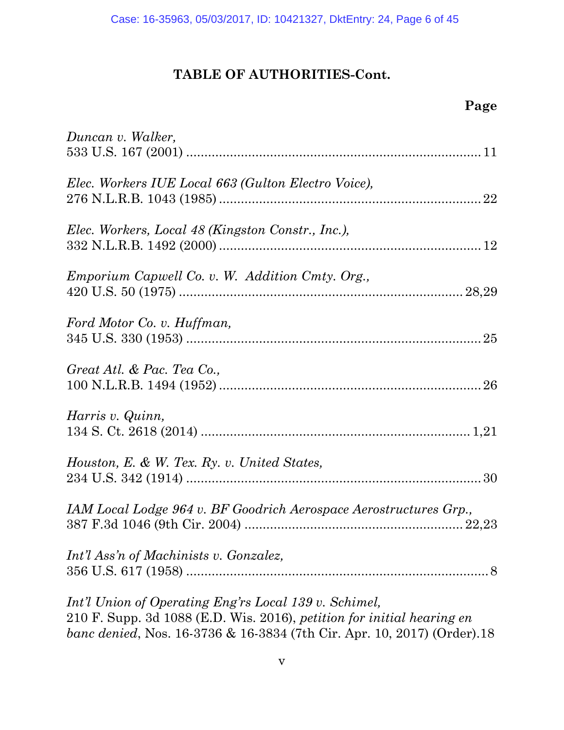| Duncan v. Walker,                                                                                                                                                                                           |
|-------------------------------------------------------------------------------------------------------------------------------------------------------------------------------------------------------------|
| Elec. Workers IUE Local 663 (Gulton Electro Voice),                                                                                                                                                         |
| Elec. Workers, Local 48 (Kingston Constr., Inc.),                                                                                                                                                           |
| <i>Emporium Capwell Co. v. W. Addition Cmty. Org.,</i>                                                                                                                                                      |
| Ford Motor Co. v. Huffman,                                                                                                                                                                                  |
| Great Atl. & Pac. Tea Co.,                                                                                                                                                                                  |
| Harris v. Quinn,                                                                                                                                                                                            |
| Houston, E. & W. Tex. Ry. v. United States,                                                                                                                                                                 |
| IAM Local Lodge 964 v. BF Goodrich Aerospace Aerostructures Grp.,                                                                                                                                           |
| Int'l Ass'n of Machinists v. Gonzalez,                                                                                                                                                                      |
| Int'l Union of Operating Eng'rs Local 139 v. Schimel,<br>210 F. Supp. 3d 1088 (E.D. Wis. 2016), petition for initial hearing en<br>banc denied, Nos. 16-3736 & 16-3834 (7th Cir. Apr. 10, 2017) (Order). 18 |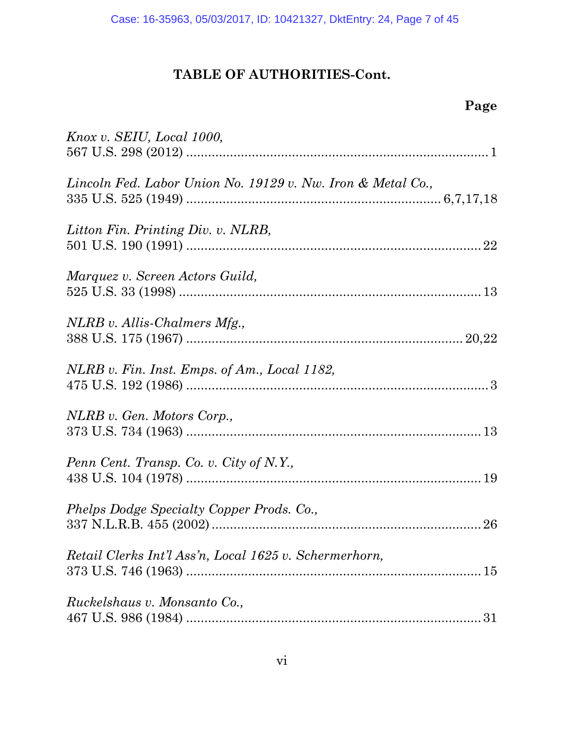| Knox v. SEIU, Local 1000,                                   |
|-------------------------------------------------------------|
| Lincoln Fed. Labor Union No. 19129 v. Nw. Iron & Metal Co., |
| Litton Fin. Printing Div. v. NLRB,                          |
| Marquez v. Screen Actors Guild,                             |
| NLRB v. Allis-Chalmers Mfg.,                                |
| NLRB v. Fin. Inst. Emps. of Am., Local 1182,                |
| NLRB v. Gen. Motors Corp.,                                  |
| Penn Cent. Transp. Co. v. City of N.Y.,                     |
| Phelps Dodge Specialty Copper Prods. Co.,                   |
| Retail Clerks Int'l Ass'n, Local 1625 v. Schermerhorn,      |
| Ruckelshaus v. Monsanto Co.,                                |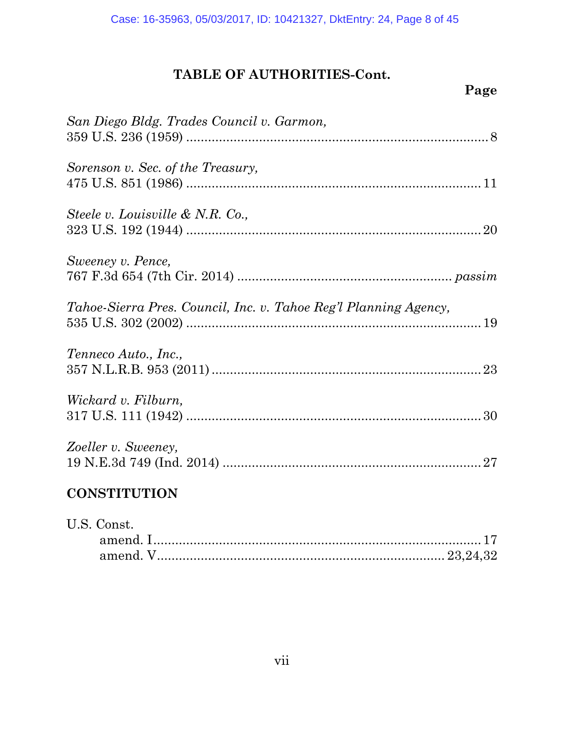| San Diego Bldg. Trades Council v. Garmon,                        |
|------------------------------------------------------------------|
| Sorenson v. Sec. of the Treasury,                                |
| Steele v. Louisville & N.R. Co.,                                 |
| Sweeney v. Pence,                                                |
| Tahoe-Sierra Pres. Council, Inc. v. Tahoe Reg'l Planning Agency, |
| Tenneco Auto., Inc.,                                             |
| Wickard v. Filburn,                                              |
| Zoeller v. Sweeney,                                              |
| <b>CONSTITUTION</b>                                              |
| U.S. Const.                                                      |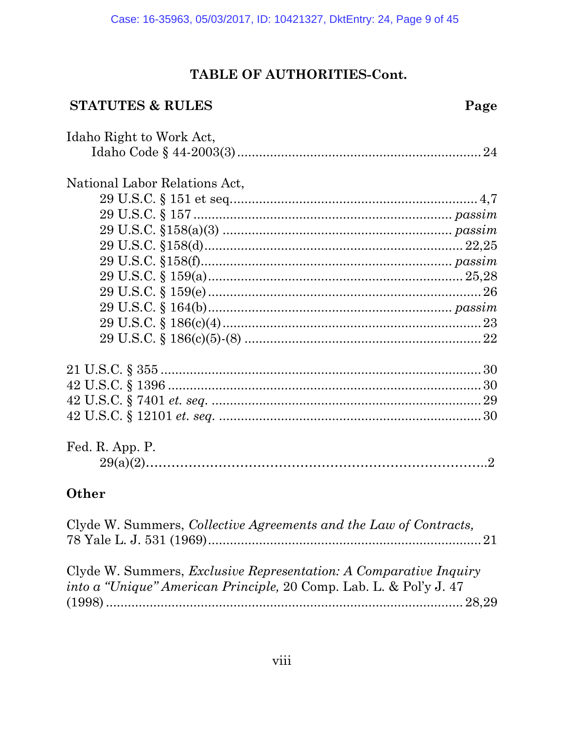### **STATUTES & RULES**

| Idaho Right to Work Act,      |  |
|-------------------------------|--|
|                               |  |
| National Labor Relations Act, |  |
|                               |  |
|                               |  |
|                               |  |
|                               |  |
|                               |  |
|                               |  |
|                               |  |
|                               |  |
|                               |  |
|                               |  |
|                               |  |
|                               |  |
|                               |  |
|                               |  |
| Fed. R. App. P.               |  |
|                               |  |
| Other                         |  |

| Clyde W. Summers, <i>Collective Agreements and the Law of Contracts</i> ,                                                                      |  |
|------------------------------------------------------------------------------------------------------------------------------------------------|--|
| Clyde W. Summers, <i>Exclusive Representation: A Comparative Inquiry</i><br>into a "Unique" American Principle, 20 Comp. Lab. L. & Pol'y J. 47 |  |
|                                                                                                                                                |  |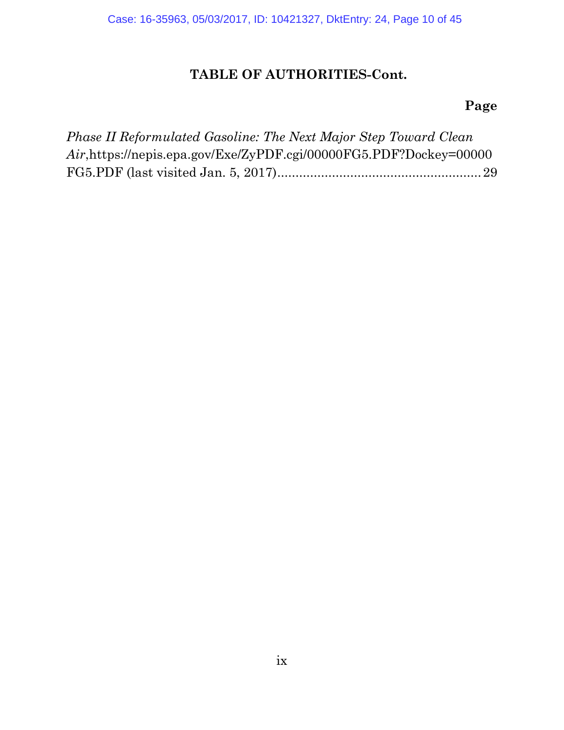| Phase II Reformulated Gasoline: The Next Major Step Toward Clean   |  |
|--------------------------------------------------------------------|--|
| Air, https://nepis.epa.gov/Exe/ZyPDF.cgi/00000FG5.PDF?Dockey=00000 |  |
|                                                                    |  |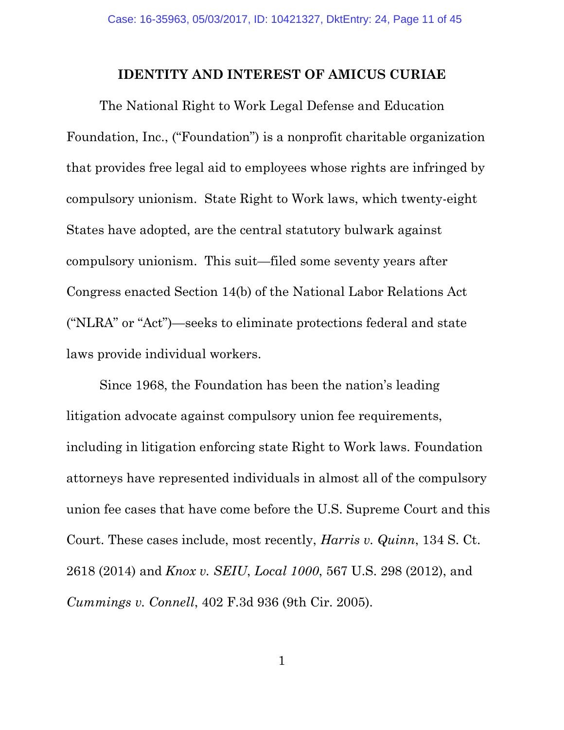#### **IDENTITY AND INTEREST OF AMICUS CURIAE**

The National Right to Work Legal Defense and Education Foundation, Inc., ("Foundation") is a nonprofit charitable organization that provides free legal aid to employees whose rights are infringed by compulsory unionism. State Right to Work laws, which twenty-eight States have adopted, are the central statutory bulwark against compulsory unionism. This suit—filed some seventy years after Congress enacted Section 14(b) of the National Labor Relations Act ("NLRA" or "Act")—seeks to eliminate protections federal and state laws provide individual workers.

Since 1968, the Foundation has been the nation's leading litigation advocate against compulsory union fee requirements, including in litigation enforcing state Right to Work laws. Foundation attorneys have represented individuals in almost all of the compulsory union fee cases that have come before the U.S. Supreme Court and this Court. These cases include, most recently, *Harris v. Quinn*, 134 S. Ct. 2618 (2014) and *Knox v. SEIU*, *Local 1000*, 567 U.S. 298 (2012), and *Cummings v. Connell*, 402 F.3d 936 (9th Cir. 2005).

1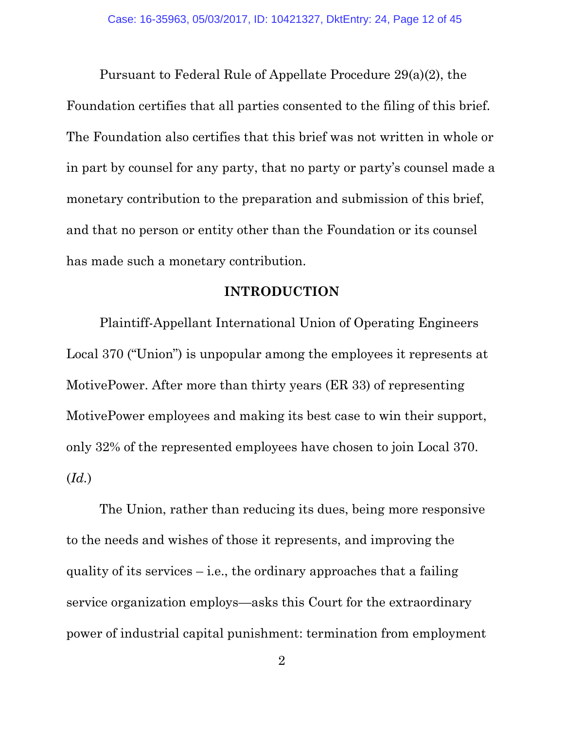Pursuant to Federal Rule of Appellate Procedure 29(a)(2), the Foundation certifies that all parties consented to the filing of this brief. The Foundation also certifies that this brief was not written in whole or in part by counsel for any party, that no party or party's counsel made a monetary contribution to the preparation and submission of this brief, and that no person or entity other than the Foundation or its counsel has made such a monetary contribution.

#### **INTRODUCTION**

Plaintiff-Appellant International Union of Operating Engineers Local 370 ("Union") is unpopular among the employees it represents at MotivePower. After more than thirty years (ER 33) of representing MotivePower employees and making its best case to win their support, only 32% of the represented employees have chosen to join Local 370. (*Id.*)

The Union, rather than reducing its dues, being more responsive to the needs and wishes of those it represents, and improving the quality of its services  $-$  i.e., the ordinary approaches that a failing service organization employs—asks this Court for the extraordinary power of industrial capital punishment: termination from employment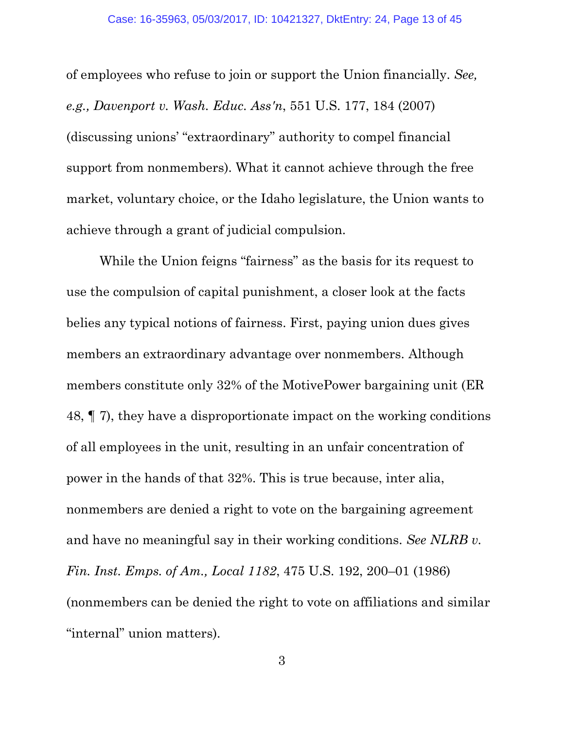of employees who refuse to join or support the Union financially. *See, e.g., Davenport v. Wash. Educ. Ass'n*, 551 U.S. 177, 184 (2007) (discussing unions' "extraordinary" authority to compel financial support from nonmembers). What it cannot achieve through the free market, voluntary choice, or the Idaho legislature, the Union wants to achieve through a grant of judicial compulsion.

While the Union feigns "fairness" as the basis for its request to use the compulsion of capital punishment, a closer look at the facts belies any typical notions of fairness. First, paying union dues gives members an extraordinary advantage over nonmembers. Although members constitute only 32% of the MotivePower bargaining unit (ER 48, ¶ 7), they have a disproportionate impact on the working conditions of all employees in the unit, resulting in an unfair concentration of power in the hands of that 32%. This is true because, inter alia, nonmembers are denied a right to vote on the bargaining agreement and have no meaningful say in their working conditions. *See NLRB v. Fin. Inst. Emps. of Am., Local 1182*, 475 U.S. 192, 200–01 (1986) (nonmembers can be denied the right to vote on affiliations and similar "internal" union matters).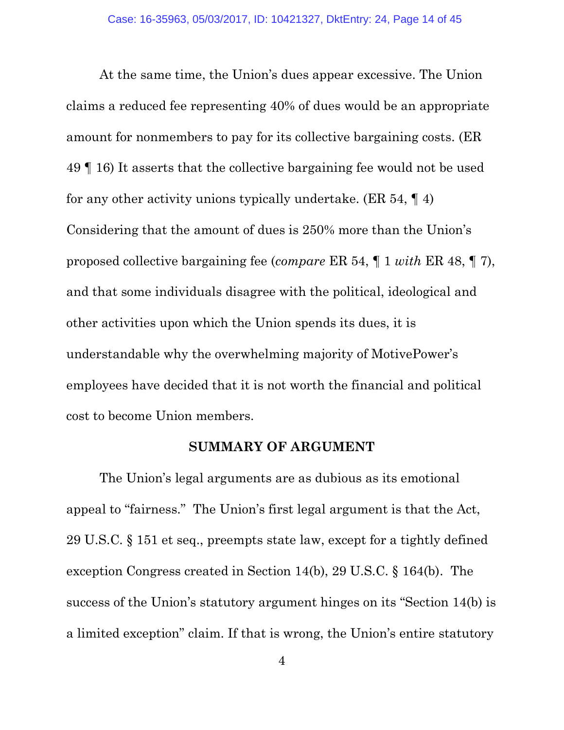At the same time, the Union's dues appear excessive. The Union claims a reduced fee representing 40% of dues would be an appropriate amount for nonmembers to pay for its collective bargaining costs. (ER 49 ¶ 16) It asserts that the collective bargaining fee would not be used for any other activity unions typically undertake. (ER 54, ¶ 4) Considering that the amount of dues is 250% more than the Union's proposed collective bargaining fee (*compare* ER 54, ¶ 1 *with* ER 48, ¶ 7), and that some individuals disagree with the political, ideological and other activities upon which the Union spends its dues, it is understandable why the overwhelming majority of MotivePower's employees have decided that it is not worth the financial and political cost to become Union members.

### **SUMMARY OF ARGUMENT**

The Union's legal arguments are as dubious as its emotional appeal to "fairness." The Union's first legal argument is that the Act, 29 U.S.C. § 151 et seq., preempts state law, except for a tightly defined exception Congress created in Section 14(b), 29 U.S.C. § 164(b). The success of the Union's statutory argument hinges on its "Section 14(b) is a limited exception" claim. If that is wrong, the Union's entire statutory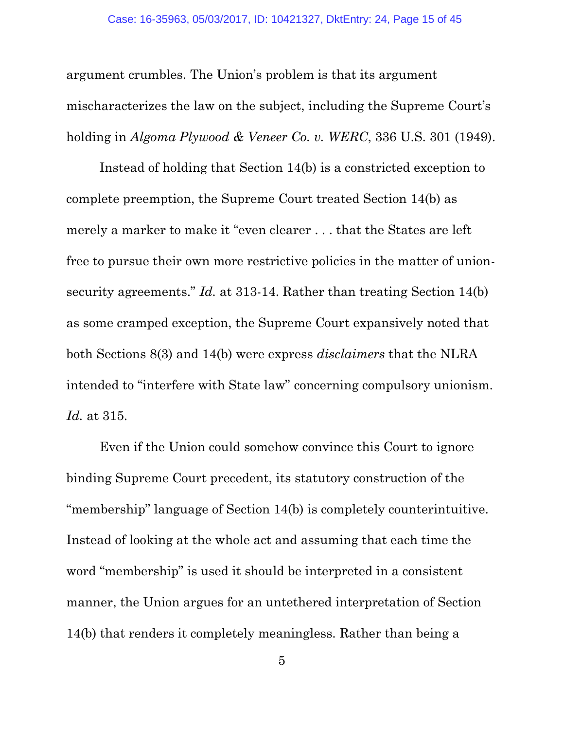argument crumbles. The Union's problem is that its argument mischaracterizes the law on the subject, including the Supreme Court's holding in *Algoma Plywood & Veneer Co. v. WERC*, 336 U.S. 301 (1949).

Instead of holding that Section 14(b) is a constricted exception to complete preemption, the Supreme Court treated Section 14(b) as merely a marker to make it "even clearer . . . that the States are left free to pursue their own more restrictive policies in the matter of unionsecurity agreements." *Id.* at 313-14. Rather than treating Section 14(b) as some cramped exception, the Supreme Court expansively noted that both Sections 8(3) and 14(b) were express *disclaimers* that the NLRA intended to "interfere with State law" concerning compulsory unionism. *Id.* at 315.

Even if the Union could somehow convince this Court to ignore binding Supreme Court precedent, its statutory construction of the "membership" language of Section 14(b) is completely counterintuitive. Instead of looking at the whole act and assuming that each time the word "membership" is used it should be interpreted in a consistent manner, the Union argues for an untethered interpretation of Section 14(b) that renders it completely meaningless. Rather than being a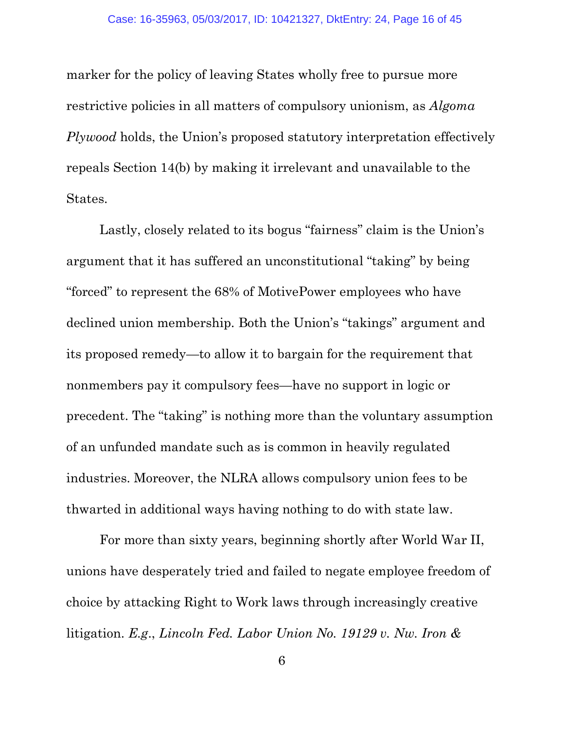marker for the policy of leaving States wholly free to pursue more restrictive policies in all matters of compulsory unionism, as *Algoma Plywood* holds, the Union's proposed statutory interpretation effectively repeals Section 14(b) by making it irrelevant and unavailable to the States.

Lastly, closely related to its bogus "fairness" claim is the Union's argument that it has suffered an unconstitutional "taking" by being "forced" to represent the 68% of MotivePower employees who have declined union membership. Both the Union's "takings" argument and its proposed remedy—to allow it to bargain for the requirement that nonmembers pay it compulsory fees—have no support in logic or precedent. The "taking" is nothing more than the voluntary assumption of an unfunded mandate such as is common in heavily regulated industries. Moreover, the NLRA allows compulsory union fees to be thwarted in additional ways having nothing to do with state law.

For more than sixty years, beginning shortly after World War II, unions have desperately tried and failed to negate employee freedom of choice by attacking Right to Work laws through increasingly creative litigation. *E.g*., *Lincoln Fed. Labor Union No. 19129 v. Nw. Iron &*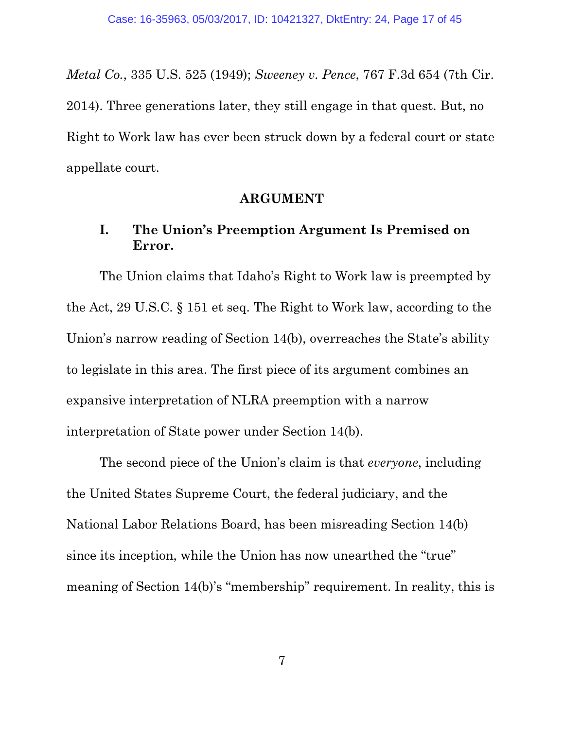*Metal Co.*, 335 U.S. 525 (1949); *Sweeney v. Pence*, 767 F.3d 654 (7th Cir. 2014). Three generations later, they still engage in that quest. But, no Right to Work law has ever been struck down by a federal court or state appellate court.

#### **ARGUMENT**

### **I. The Union's Preemption Argument Is Premised on Error.**

The Union claims that Idaho's Right to Work law is preempted by the Act, 29 U.S.C. § 151 et seq. The Right to Work law, according to the Union's narrow reading of Section 14(b), overreaches the State's ability to legislate in this area. The first piece of its argument combines an expansive interpretation of NLRA preemption with a narrow interpretation of State power under Section 14(b).

The second piece of the Union's claim is that *everyone*, including the United States Supreme Court, the federal judiciary, and the National Labor Relations Board, has been misreading Section 14(b) since its inception, while the Union has now unearthed the "true" meaning of Section 14(b)'s "membership" requirement. In reality, this is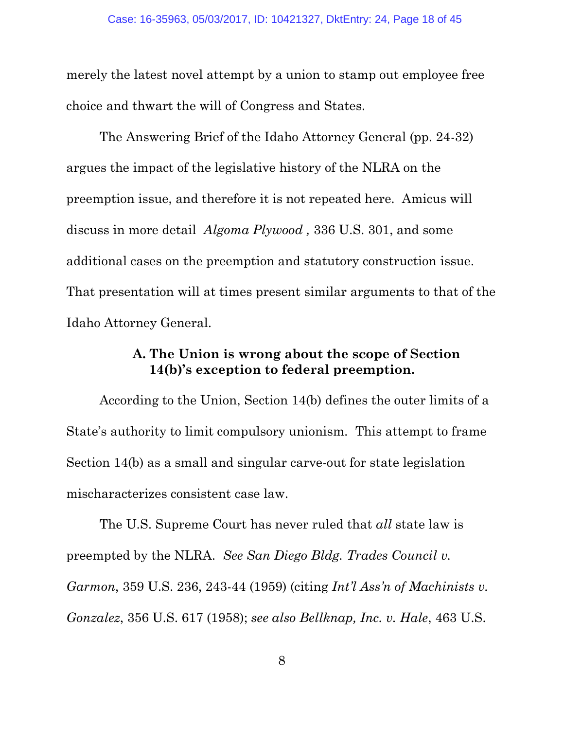merely the latest novel attempt by a union to stamp out employee free choice and thwart the will of Congress and States.

The Answering Brief of the Idaho Attorney General (pp. 24-32) argues the impact of the legislative history of the NLRA on the preemption issue, and therefore it is not repeated here. Amicus will discuss in more detail *Algoma Plywood ,* 336 U.S. 301, and some additional cases on the preemption and statutory construction issue. That presentation will at times present similar arguments to that of the Idaho Attorney General.

### **A. The Union is wrong about the scope of Section 14(b)'s exception to federal preemption.**

According to the Union, Section 14(b) defines the outer limits of a State's authority to limit compulsory unionism. This attempt to frame Section 14(b) as a small and singular carve-out for state legislation mischaracterizes consistent case law.

The U.S. Supreme Court has never ruled that *all* state law is preempted by the NLRA. *See San Diego Bldg. Trades Council v. Garmon*, 359 U.S. 236, 243-44 (1959) (citing *Int'l Ass'n of Machinists v. Gonzalez*, 356 U.S. 617 (1958); *see also Bellknap, Inc. v. Hale*, 463 U.S.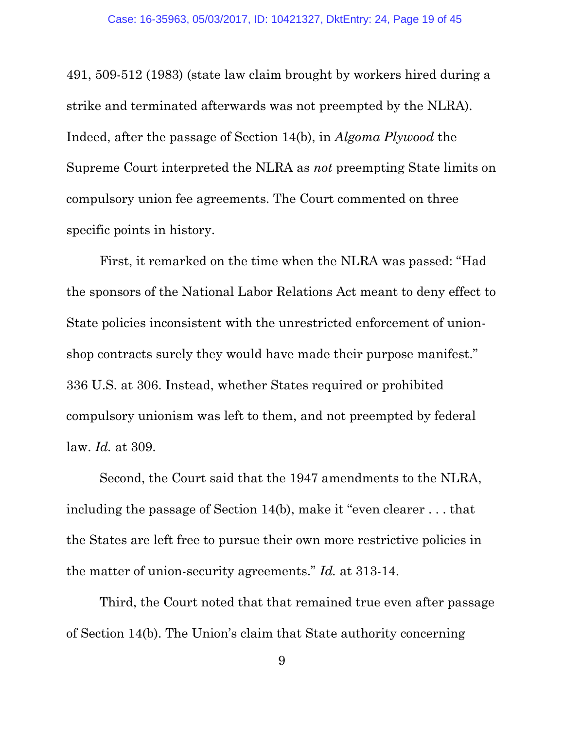491, 509-512 (1983) (state law claim brought by workers hired during a strike and terminated afterwards was not preempted by the NLRA). Indeed, after the passage of Section 14(b), in *Algoma Plywood* the Supreme Court interpreted the NLRA as *not* preempting State limits on compulsory union fee agreements. The Court commented on three specific points in history.

First, it remarked on the time when the NLRA was passed: "Had the sponsors of the National Labor Relations Act meant to deny effect to State policies inconsistent with the unrestricted enforcement of unionshop contracts surely they would have made their purpose manifest." 336 U.S. at 306. Instead, whether States required or prohibited compulsory unionism was left to them, and not preempted by federal law. *Id.* at 309.

Second, the Court said that the 1947 amendments to the NLRA, including the passage of Section 14(b), make it "even clearer . . . that the States are left free to pursue their own more restrictive policies in the matter of union-security agreements." *Id.* at 313-14.

Third, the Court noted that that remained true even after passage of Section 14(b). The Union's claim that State authority concerning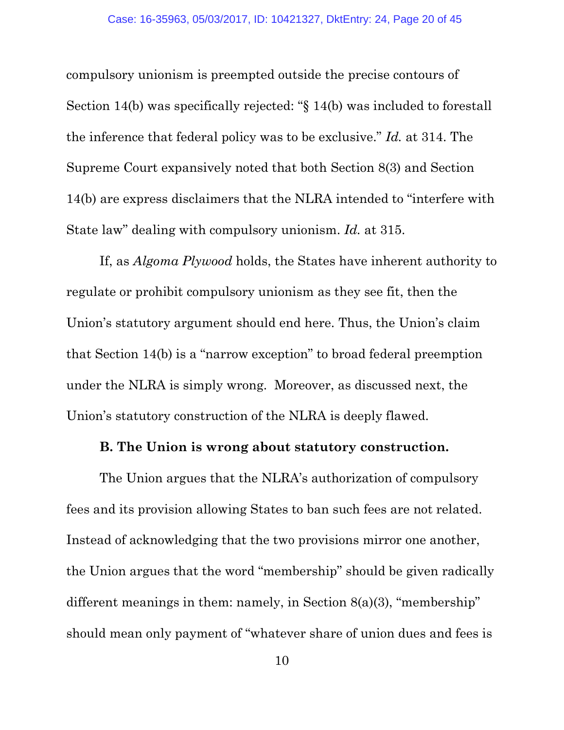compulsory unionism is preempted outside the precise contours of Section 14(b) was specifically rejected: "§ 14(b) was included to forestall the inference that federal policy was to be exclusive." *Id.* at 314. The Supreme Court expansively noted that both Section 8(3) and Section 14(b) are express disclaimers that the NLRA intended to "interfere with State law" dealing with compulsory unionism. *Id.* at 315.

If, as *Algoma Plywood* holds, the States have inherent authority to regulate or prohibit compulsory unionism as they see fit, then the Union's statutory argument should end here. Thus, the Union's claim that Section 14(b) is a "narrow exception" to broad federal preemption under the NLRA is simply wrong. Moreover, as discussed next, the Union's statutory construction of the NLRA is deeply flawed.

#### **B. The Union is wrong about statutory construction.**

The Union argues that the NLRA's authorization of compulsory fees and its provision allowing States to ban such fees are not related. Instead of acknowledging that the two provisions mirror one another, the Union argues that the word "membership" should be given radically different meanings in them: namely, in Section 8(a)(3), "membership" should mean only payment of "whatever share of union dues and fees is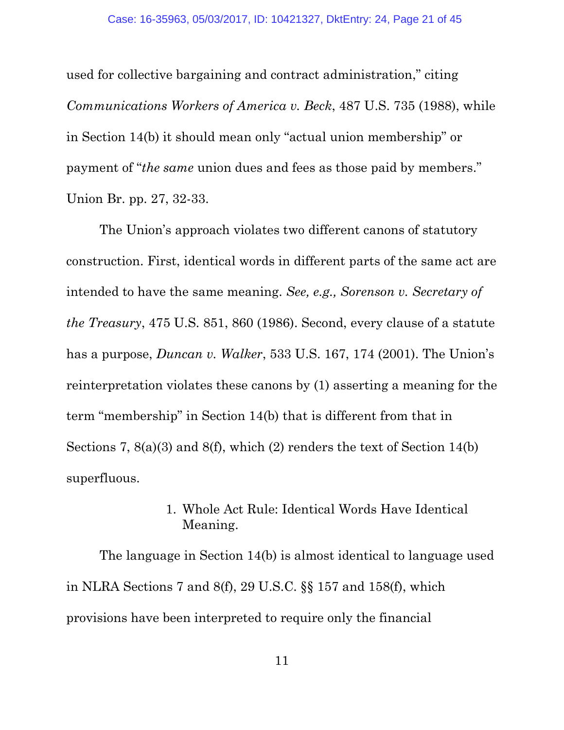used for collective bargaining and contract administration," citing *Communications Workers of America v. Beck*, 487 U.S. 735 (1988), while in Section 14(b) it should mean only "actual union membership" or payment of "*the same* union dues and fees as those paid by members." Union Br. pp. 27, 32-33.

The Union's approach violates two different canons of statutory construction. First, identical words in different parts of the same act are intended to have the same meaning. *See, e.g., Sorenson v. Secretary of the Treasury*, 475 U.S. 851, 860 (1986). Second, every clause of a statute has a purpose, *Duncan v. Walker*, 533 U.S. 167, 174 (2001). The Union's reinterpretation violates these canons by (1) asserting a meaning for the term "membership" in Section 14(b) that is different from that in Sections 7, 8(a)(3) and 8(f), which (2) renders the text of Section 14(b) superfluous.

### 1. Whole Act Rule: Identical Words Have Identical Meaning.

 The language in Section 14(b) is almost identical to language used in NLRA Sections 7 and 8(f), 29 U.S.C. §§ 157 and 158(f), which provisions have been interpreted to require only the financial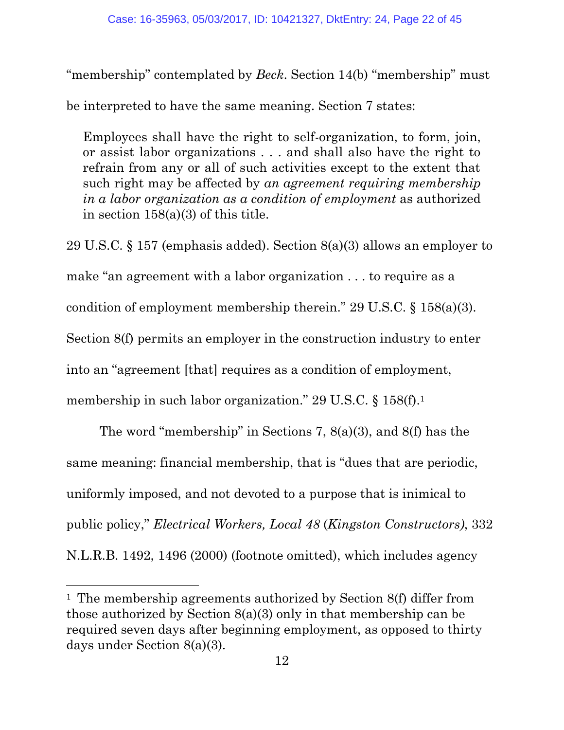"membership" contemplated by *Beck*. Section 14(b) "membership" must

be interpreted to have the same meaning. Section 7 states:

Employees shall have the right to self-organization, to form, join, or assist labor organizations . . . and shall also have the right to refrain from any or all of such activities except to the extent that such right may be affected by *an agreement requiring membership in a labor organization as a condition of employment* as authorized in section  $158(a)(3)$  of this title.

29 U.S.C. § 157 (emphasis added). Section 8(a)(3) allows an employer to make "an agreement with a labor organization . . . to require as a condition of employment membership therein." 29 U.S.C. § 158(a)(3). Section 8(f) permits an employer in the construction industry to enter into an "agreement [that] requires as a condition of employment, membership in such labor organization." 29 U.S.C. § 158(f).<sup>1</sup>

The word "membership" in Sections 7, 8(a)(3), and 8(f) has the same meaning: financial membership, that is "dues that are periodic, uniformly imposed, and not devoted to a purpose that is inimical to public policy," *Electrical Workers, Local 48* (*Kingston Constructors)*, 332 N.L.R.B. 1492, 1496 (2000) (footnote omitted), which includes agency

 $\overline{a}$ 

<sup>1</sup> The membership agreements authorized by Section 8(f) differ from those authorized by Section 8(a)(3) only in that membership can be required seven days after beginning employment, as opposed to thirty days under Section 8(a)(3).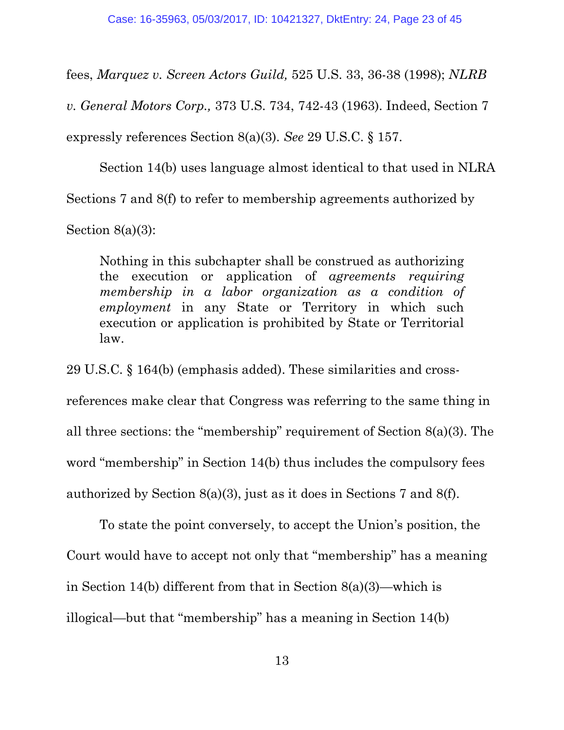fees, *Marquez v. Screen Actors Guild,* 525 U.S. 33, 36-38 (1998); *NLRB* 

*v. General Motors Corp.,* 373 U.S. 734, 742-43 (1963). Indeed, Section 7

expressly references Section 8(a)(3). *See* 29 U.S.C. § 157.

Section 14(b) uses language almost identical to that used in NLRA

Sections 7 and 8(f) to refer to membership agreements authorized by

Section  $8(a)(3)$ :

Nothing in this subchapter shall be construed as authorizing the execution or application of *agreements requiring membership in a labor organization as a condition of employment* in any State or Territory in which such execution or application is prohibited by State or Territorial law.

29 U.S.C. § 164(b) (emphasis added). These similarities and crossreferences make clear that Congress was referring to the same thing in all three sections: the "membership" requirement of Section 8(a)(3). The word "membership" in Section 14(b) thus includes the compulsory fees authorized by Section 8(a)(3), just as it does in Sections 7 and 8(f).

 To state the point conversely, to accept the Union's position, the Court would have to accept not only that "membership" has a meaning in Section 14(b) different from that in Section 8(a)(3)—which is illogical—but that "membership" has a meaning in Section 14(b)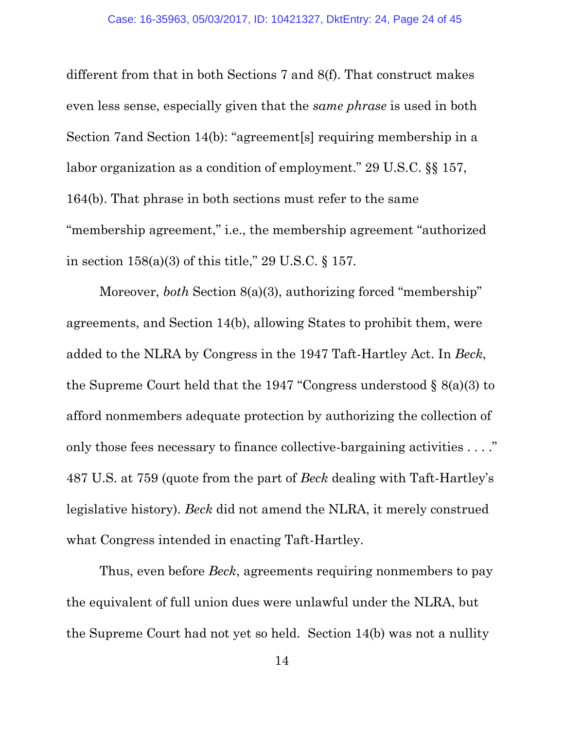different from that in both Sections 7 and 8(f). That construct makes even less sense, especially given that the *same phrase* is used in both Section 7and Section 14(b): "agreement[s] requiring membership in a labor organization as a condition of employment." 29 U.S.C. §§ 157, 164(b). That phrase in both sections must refer to the same "membership agreement," i.e., the membership agreement "authorized in section 158(a)(3) of this title," 29 U.S.C. § 157.

Moreover, *both* Section 8(a)(3), authorizing forced "membership" agreements, and Section 14(b), allowing States to prohibit them, were added to the NLRA by Congress in the 1947 Taft-Hartley Act. In *Beck*, the Supreme Court held that the 1947 "Congress understood § 8(a)(3) to afford nonmembers adequate protection by authorizing the collection of only those fees necessary to finance collective-bargaining activities . . . ." 487 U.S. at 759 (quote from the part of *Beck* dealing with Taft-Hartley's legislative history). *Beck* did not amend the NLRA, it merely construed what Congress intended in enacting Taft-Hartley.

 Thus, even before *Beck*, agreements requiring nonmembers to pay the equivalent of full union dues were unlawful under the NLRA, but the Supreme Court had not yet so held. Section 14(b) was not a nullity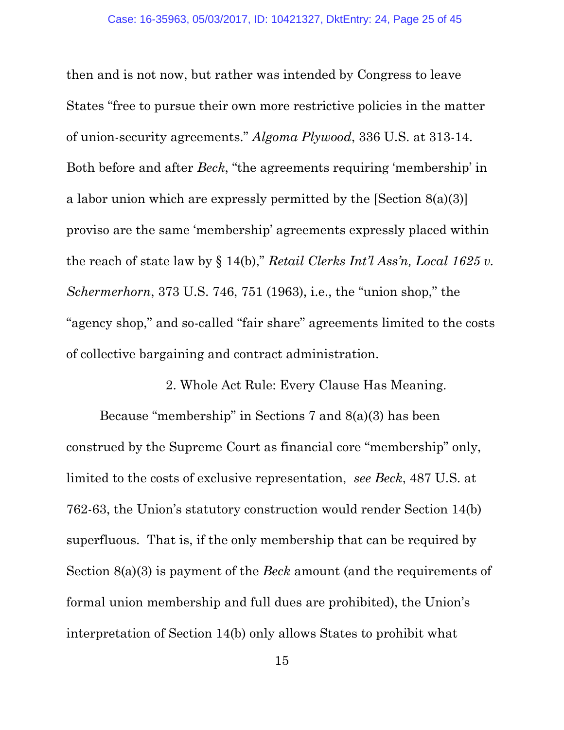then and is not now, but rather was intended by Congress to leave States "free to pursue their own more restrictive policies in the matter of union-security agreements." *Algoma Plywood*, 336 U.S. at 313-14. Both before and after *Beck*, "the agreements requiring 'membership' in a labor union which are expressly permitted by the [Section 8(a)(3)] proviso are the same 'membership' agreements expressly placed within the reach of state law by § 14(b)," *Retail Clerks Int'l Ass'n, Local 1625 v. Schermerhorn*, 373 U.S. 746, 751 (1963), i.e., the "union shop," the "agency shop," and so-called "fair share" agreements limited to the costs of collective bargaining and contract administration.

2. Whole Act Rule: Every Clause Has Meaning.

Because "membership" in Sections 7 and 8(a)(3) has been construed by the Supreme Court as financial core "membership" only, limited to the costs of exclusive representation, *see Beck*, 487 U.S. at 762-63, the Union's statutory construction would render Section 14(b) superfluous. That is, if the only membership that can be required by Section 8(a)(3) is payment of the *Beck* amount (and the requirements of formal union membership and full dues are prohibited), the Union's interpretation of Section 14(b) only allows States to prohibit what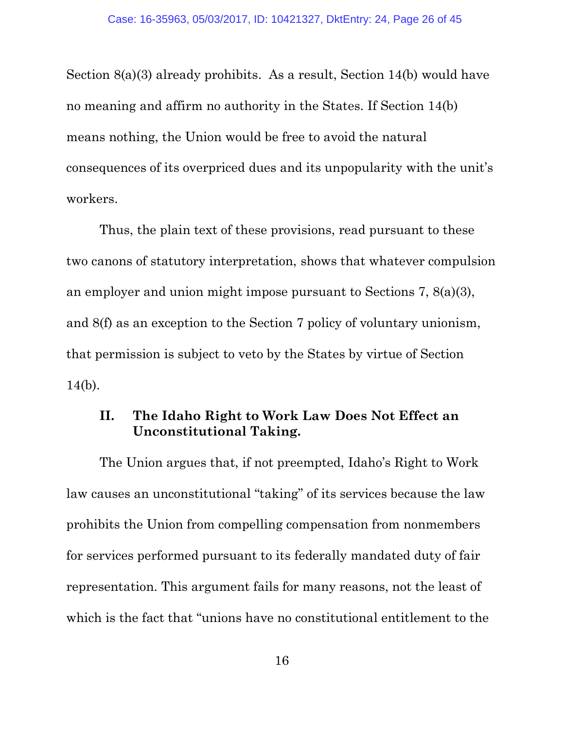Section 8(a)(3) already prohibits. As a result, Section 14(b) would have no meaning and affirm no authority in the States. If Section 14(b) means nothing, the Union would be free to avoid the natural consequences of its overpriced dues and its unpopularity with the unit's workers.

Thus, the plain text of these provisions, read pursuant to these two canons of statutory interpretation, shows that whatever compulsion an employer and union might impose pursuant to Sections 7, 8(a)(3), and 8(f) as an exception to the Section 7 policy of voluntary unionism, that permission is subject to veto by the States by virtue of Section 14(b).

### **II. The Idaho Right to Work Law Does Not Effect an Unconstitutional Taking.**

The Union argues that, if not preempted, Idaho's Right to Work law causes an unconstitutional "taking" of its services because the law prohibits the Union from compelling compensation from nonmembers for services performed pursuant to its federally mandated duty of fair representation. This argument fails for many reasons, not the least of which is the fact that "unions have no constitutional entitlement to the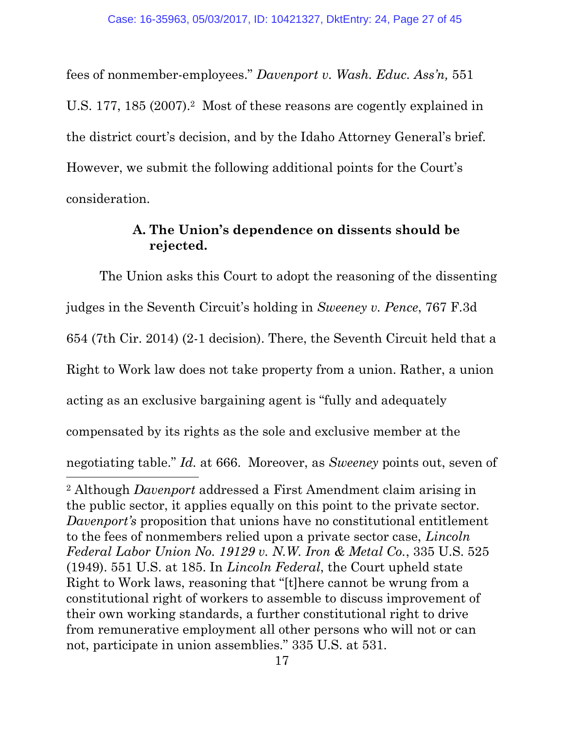fees of nonmember-employees." *Davenport v. Wash. Educ. Ass'n,* 551 U.S. 177, 185 (2007).<sup>2</sup> Most of these reasons are cogently explained in the district court's decision, and by the Idaho Attorney General's brief. However, we submit the following additional points for the Court's consideration.

### **A. The Union's dependence on dissents should be rejected.**

The Union asks this Court to adopt the reasoning of the dissenting judges in the Seventh Circuit's holding in *Sweeney v. Pence*, 767 F.3d 654 (7th Cir. 2014) (2-1 decision). There, the Seventh Circuit held that a Right to Work law does not take property from a union. Rather, a union acting as an exclusive bargaining agent is "fully and adequately compensated by its rights as the sole and exclusive member at the negotiating table." *Id.* at 666. Moreover, as *Sweeney* points out, seven of  $\overline{a}$ <sup>2</sup> Although *Davenport* addressed a First Amendment claim arising in the public sector, it applies equally on this point to the private sector. *Davenport's* proposition that unions have no constitutional entitlement to the fees of nonmembers relied upon a private sector case, *Lincoln Federal Labor Union No. 19129 v. N.W. Iron & Metal Co.*, 335 U.S. 525 (1949). 551 U.S. at 185. In *Lincoln Federal*, the Court upheld state Right to Work laws, reasoning that "[t]here cannot be wrung from a

constitutional right of workers to assemble to discuss improvement of their own working standards, a further constitutional right to drive from remunerative employment all other persons who will not or can not, participate in union assemblies." 335 U.S. at 531.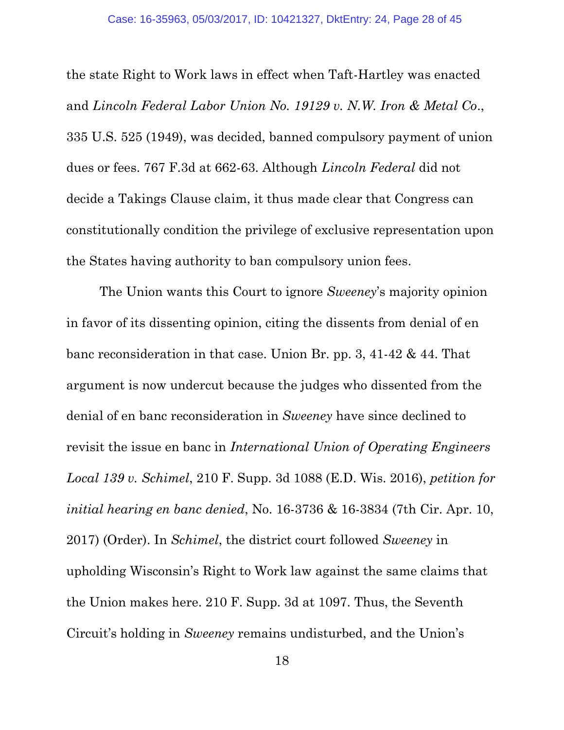the state Right to Work laws in effect when Taft-Hartley was enacted and *Lincoln Federal Labor Union No. 19129 v. N.W. Iron & Metal Co*., 335 U.S. 525 (1949), was decided, banned compulsory payment of union dues or fees. 767 F.3d at 662-63. Although *Lincoln Federal* did not decide a Takings Clause claim, it thus made clear that Congress can constitutionally condition the privilege of exclusive representation upon the States having authority to ban compulsory union fees.

The Union wants this Court to ignore *Sweeney*'s majority opinion in favor of its dissenting opinion, citing the dissents from denial of en banc reconsideration in that case. Union Br. pp. 3, 41-42 & 44. That argument is now undercut because the judges who dissented from the denial of en banc reconsideration in *Sweeney* have since declined to revisit the issue en banc in *International Union of Operating Engineers Local 139 v. Schimel*, 210 F. Supp. 3d 1088 (E.D. Wis. 2016), *petition for initial hearing en banc denied*, No. 16-3736 & 16-3834 (7th Cir. Apr. 10, 2017) (Order). In *Schimel*, the district court followed *Sweeney* in upholding Wisconsin's Right to Work law against the same claims that the Union makes here. 210 F. Supp. 3d at 1097. Thus, the Seventh Circuit's holding in *Sweeney* remains undisturbed, and the Union's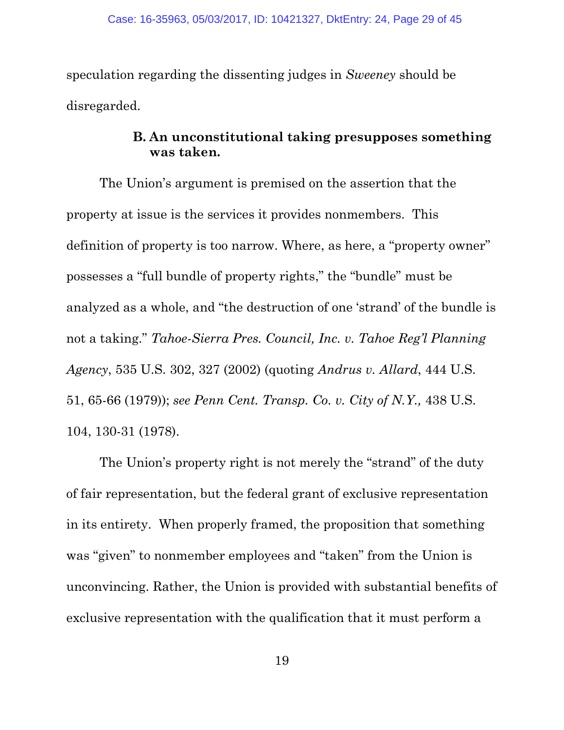speculation regarding the dissenting judges in *Sweeney* should be disregarded.

### **B. An unconstitutional taking presupposes something was taken.**

The Union's argument is premised on the assertion that the property at issue is the services it provides nonmembers. This definition of property is too narrow. Where, as here, a "property owner" possesses a "full bundle of property rights," the "bundle" must be analyzed as a whole, and "the destruction of one 'strand' of the bundle is not a taking." *Tahoe-Sierra Pres. Council, Inc. v. Tahoe Reg'l Planning Agency*, 535 U.S. 302, 327 (2002) (quoting *Andrus v. Allard*, 444 U.S. 51, 65-66 (1979)); *see Penn Cent. Transp. Co. v. City of N.Y.,* 438 U.S. 104, 130-31 (1978).

The Union's property right is not merely the "strand" of the duty of fair representation, but the federal grant of exclusive representation in its entirety. When properly framed, the proposition that something was "given" to nonmember employees and "taken" from the Union is unconvincing. Rather, the Union is provided with substantial benefits of exclusive representation with the qualification that it must perform a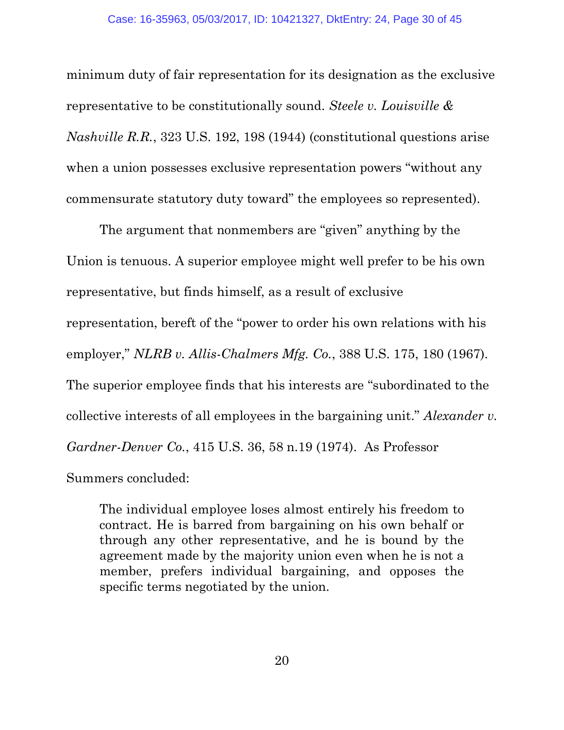minimum duty of fair representation for its designation as the exclusive representative to be constitutionally sound. *Steele v. Louisville & Nashville R.R.*, 323 U.S. 192, 198 (1944) (constitutional questions arise when a union possesses exclusive representation powers "without any commensurate statutory duty toward" the employees so represented).

The argument that nonmembers are "given" anything by the Union is tenuous. A superior employee might well prefer to be his own representative, but finds himself, as a result of exclusive representation, bereft of the "power to order his own relations with his employer," *NLRB v. Allis-Chalmers Mfg. Co.*, 388 U.S. 175, 180 (1967). The superior employee finds that his interests are "subordinated to the collective interests of all employees in the bargaining unit." *Alexander v. Gardner-Denver Co.*, 415 U.S. 36, 58 n.19 (1974). As Professor Summers concluded:

The individual employee loses almost entirely his freedom to contract. He is barred from bargaining on his own behalf or through any other representative, and he is bound by the agreement made by the majority union even when he is not a member, prefers individual bargaining, and opposes the specific terms negotiated by the union.

20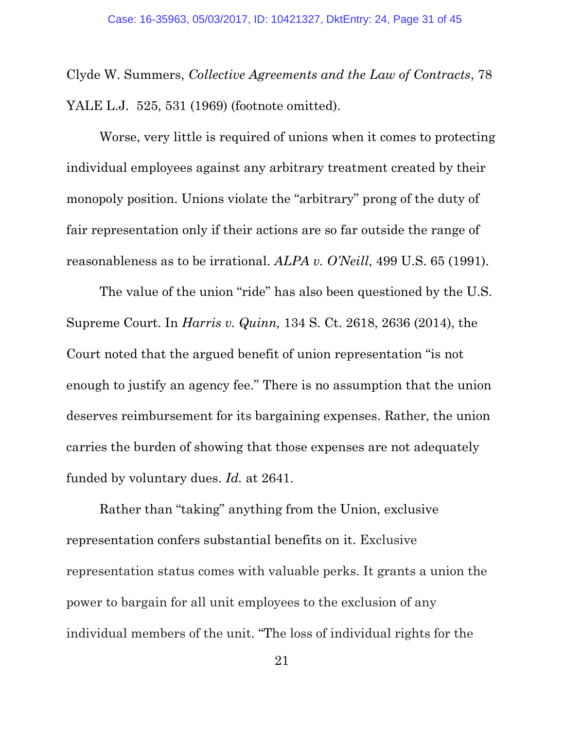Clyde W. Summers, *Collective Agreements and the Law of Contracts*, 78 YALE L.J. 525, 531 (1969) (footnote omitted).

Worse, very little is required of unions when it comes to protecting individual employees against any arbitrary treatment created by their monopoly position. Unions violate the "arbitrary" prong of the duty of fair representation only if their actions are so far outside the range of reasonableness as to be irrational. *ALPA v. O'Neill*, 499 U.S. 65 (1991).

The value of the union "ride" has also been questioned by the U.S. Supreme Court. In *Harris v. Quinn,* 134 S. Ct. 2618, 2636 (2014), the Court noted that the argued benefit of union representation "is not enough to justify an agency fee." There is no assumption that the union deserves reimbursement for its bargaining expenses. Rather, the union carries the burden of showing that those expenses are not adequately funded by voluntary dues. *Id.* at 2641.

Rather than "taking" anything from the Union, exclusive representation confers substantial benefits on it. Exclusive representation status comes with valuable perks. It grants a union the power to bargain for all unit employees to the exclusion of any individual members of the unit. "The loss of individual rights for the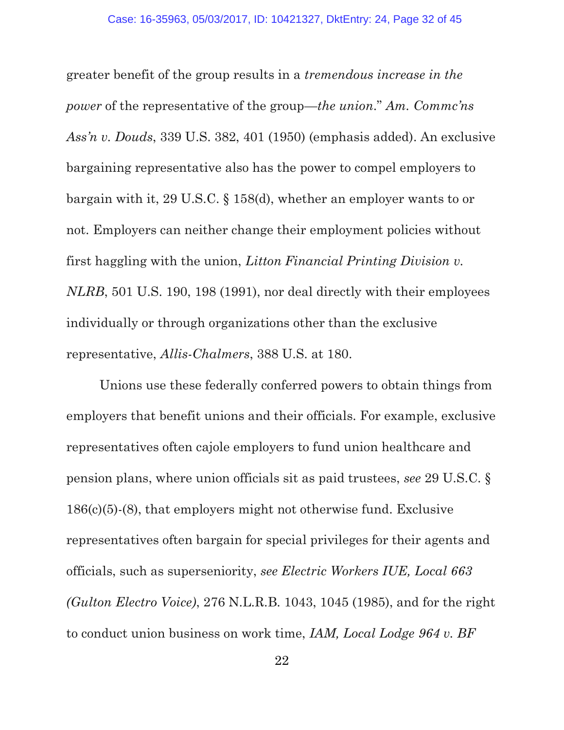greater benefit of the group results in a *tremendous increase in the power* of the representative of the group—*the union*." *Am. Commc'ns Ass'n v. Douds*, 339 U.S. 382, 401 (1950) (emphasis added). An exclusive bargaining representative also has the power to compel employers to bargain with it, 29 U.S.C. § 158(d), whether an employer wants to or not. Employers can neither change their employment policies without first haggling with the union, *Litton Financial Printing Division v. NLRB*, 501 U.S. 190, 198 (1991), nor deal directly with their employees individually or through organizations other than the exclusive representative, *Allis-Chalmers*, 388 U.S. at 180.

Unions use these federally conferred powers to obtain things from employers that benefit unions and their officials. For example, exclusive representatives often cajole employers to fund union healthcare and pension plans, where union officials sit as paid trustees, *see* 29 U.S.C. § 186(c)(5)-(8), that employers might not otherwise fund. Exclusive representatives often bargain for special privileges for their agents and officials, such as superseniority, *see Electric Workers IUE, Local 663 (Gulton Electro Voice)*, 276 N.L.R.B. 1043, 1045 (1985), and for the right to conduct union business on work time, *IAM, Local Lodge 964 v. BF*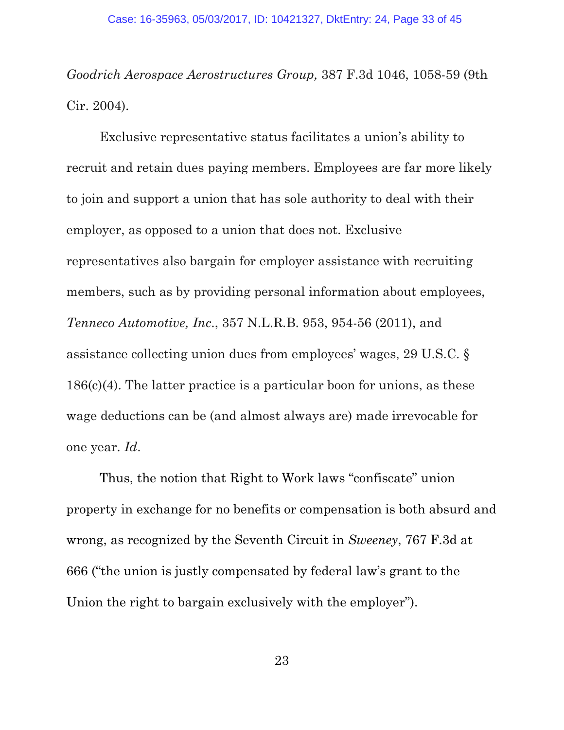*Goodrich Aerospace Aerostructures Group,* 387 F.3d 1046, 1058-59 (9th Cir. 2004).

Exclusive representative status facilitates a union's ability to recruit and retain dues paying members. Employees are far more likely to join and support a union that has sole authority to deal with their employer, as opposed to a union that does not. Exclusive representatives also bargain for employer assistance with recruiting members, such as by providing personal information about employees, *Tenneco Automotive, Inc*., 357 N.L.R.B. 953, 954-56 (2011), and assistance collecting union dues from employees' wages, 29 U.S.C. §  $186(c)(4)$ . The latter practice is a particular boon for unions, as these wage deductions can be (and almost always are) made irrevocable for one year. *Id*.

Thus, the notion that Right to Work laws "confiscate" union property in exchange for no benefits or compensation is both absurd and wrong, as recognized by the Seventh Circuit in *Sweeney*, 767 F.3d at 666 ("the union is justly compensated by federal law's grant to the Union the right to bargain exclusively with the employer").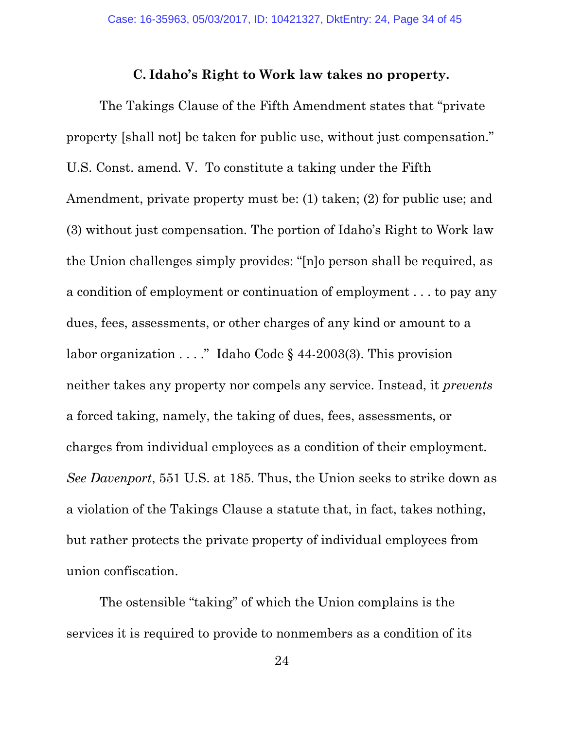#### **C. Idaho's Right to Work law takes no property.**

The Takings Clause of the Fifth Amendment states that "private property [shall not] be taken for public use, without just compensation." U.S. Const. amend. V. To constitute a taking under the Fifth Amendment, private property must be: (1) taken; (2) for public use; and (3) without just compensation. The portion of Idaho's Right to Work law the Union challenges simply provides: "[n]o person shall be required, as a condition of employment or continuation of employment . . . to pay any dues, fees, assessments, or other charges of any kind or amount to a labor organization  $\dots$ ." Idaho Code § 44-2003(3). This provision neither takes any property nor compels any service. Instead, it *prevents* a forced taking, namely, the taking of dues, fees, assessments, or charges from individual employees as a condition of their employment. *See Davenport*, 551 U.S. at 185. Thus, the Union seeks to strike down as a violation of the Takings Clause a statute that, in fact, takes nothing, but rather protects the private property of individual employees from union confiscation.

The ostensible "taking" of which the Union complains is the services it is required to provide to nonmembers as a condition of its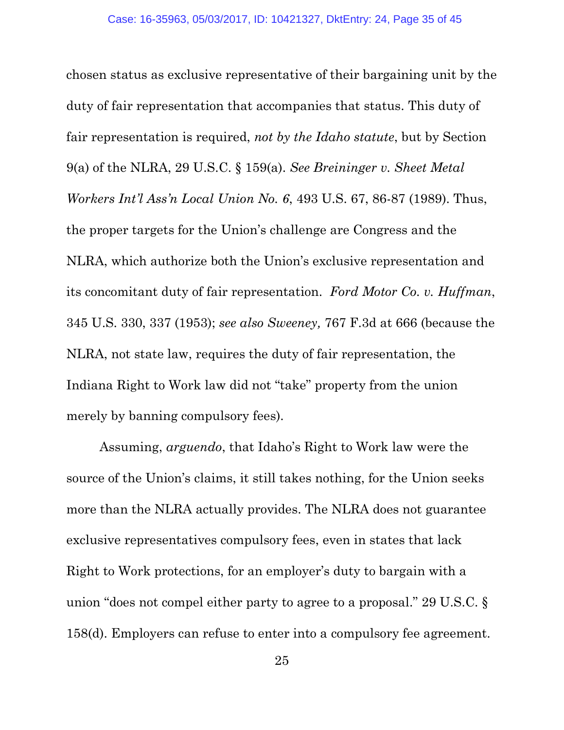chosen status as exclusive representative of their bargaining unit by the duty of fair representation that accompanies that status. This duty of fair representation is required, *not by the Idaho statute*, but by Section 9(a) of the NLRA, 29 U.S.C. § 159(a). *See Breininger v. Sheet Metal Workers Int'l Ass'n Local Union No. 6*, 493 U.S. 67, 86-87 (1989). Thus, the proper targets for the Union's challenge are Congress and the NLRA, which authorize both the Union's exclusive representation and its concomitant duty of fair representation. *Ford Motor Co. v. Huffman*, 345 U.S. 330, 337 (1953); *see also Sweeney,* 767 F.3d at 666 (because the NLRA, not state law, requires the duty of fair representation, the Indiana Right to Work law did not "take" property from the union merely by banning compulsory fees).

Assuming, *arguendo*, that Idaho's Right to Work law were the source of the Union's claims, it still takes nothing, for the Union seeks more than the NLRA actually provides. The NLRA does not guarantee exclusive representatives compulsory fees, even in states that lack Right to Work protections, for an employer's duty to bargain with a union "does not compel either party to agree to a proposal." 29 U.S.C. § 158(d). Employers can refuse to enter into a compulsory fee agreement.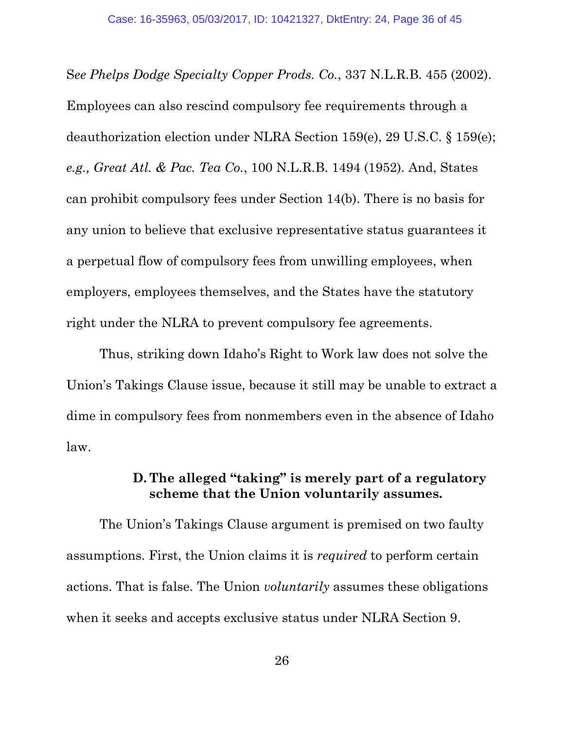S*ee Phelps Dodge Specialty Copper Prods. Co.*, 337 N.L.R.B. 455 (2002). Employees can also rescind compulsory fee requirements through a deauthorization election under NLRA Section 159(e), 29 U.S.C. § 159(e); *e.g., Great Atl. & Pac. Tea Co.*, 100 N.L.R.B. 1494 (1952). And, States can prohibit compulsory fees under Section 14(b). There is no basis for any union to believe that exclusive representative status guarantees it a perpetual flow of compulsory fees from unwilling employees, when employers, employees themselves, and the States have the statutory right under the NLRA to prevent compulsory fee agreements.

Thus, striking down Idaho's Right to Work law does not solve the Union's Takings Clause issue, because it still may be unable to extract a dime in compulsory fees from nonmembers even in the absence of Idaho law.

### **D. The alleged "taking" is merely part of a regulatory scheme that the Union voluntarily assumes.**

The Union's Takings Clause argument is premised on two faulty assumptions. First, the Union claims it is *required* to perform certain actions. That is false. The Union *voluntarily* assumes these obligations when it seeks and accepts exclusive status under NLRA Section 9.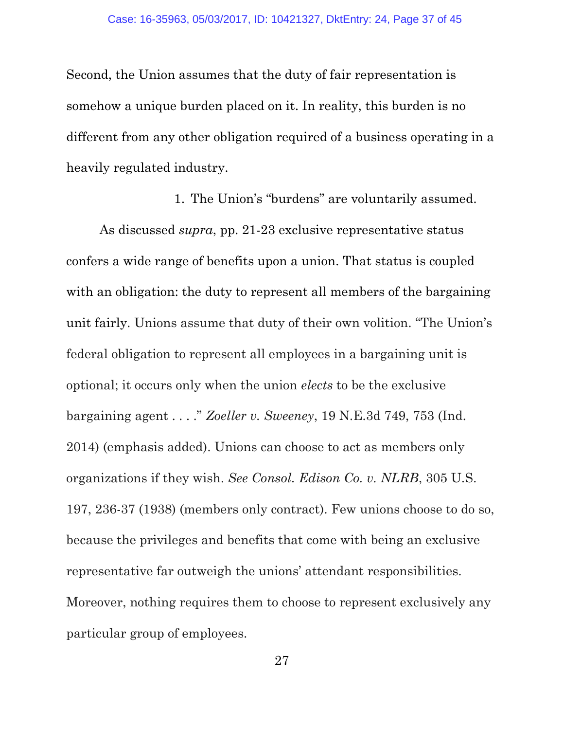Second, the Union assumes that the duty of fair representation is somehow a unique burden placed on it. In reality, this burden is no different from any other obligation required of a business operating in a heavily regulated industry.

1. The Union's "burdens" are voluntarily assumed.

As discussed *supra*, pp. 21-23 exclusive representative status confers a wide range of benefits upon a union. That status is coupled with an obligation: the duty to represent all members of the bargaining unit fairly. Unions assume that duty of their own volition. "The Union's federal obligation to represent all employees in a bargaining unit is optional; it occurs only when the union *elects* to be the exclusive bargaining agent . . . ." *Zoeller v. Sweeney*, 19 N.E.3d 749, 753 (Ind. 2014) (emphasis added). Unions can choose to act as members only organizations if they wish. *See Consol. Edison Co. v. NLRB*, 305 U.S. 197, 236-37 (1938) (members only contract). Few unions choose to do so, because the privileges and benefits that come with being an exclusive representative far outweigh the unions' attendant responsibilities. Moreover, nothing requires them to choose to represent exclusively any particular group of employees.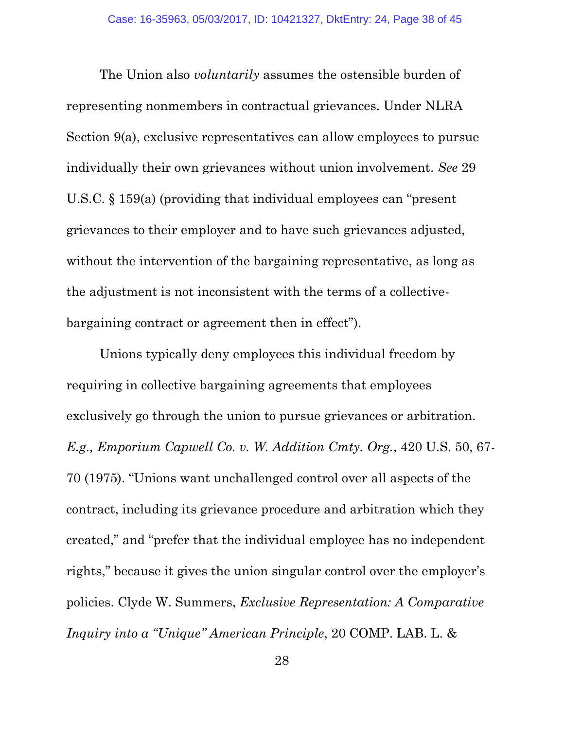The Union also *voluntarily* assumes the ostensible burden of representing nonmembers in contractual grievances. Under NLRA Section 9(a), exclusive representatives can allow employees to pursue individually their own grievances without union involvement. *See* 29 U.S.C. § 159(a) (providing that individual employees can "present grievances to their employer and to have such grievances adjusted, without the intervention of the bargaining representative, as long as the adjustment is not inconsistent with the terms of a collectivebargaining contract or agreement then in effect").

Unions typically deny employees this individual freedom by requiring in collective bargaining agreements that employees exclusively go through the union to pursue grievances or arbitration. *E.g., Emporium Capwell Co. v. W. Addition Cmty. Org.*, 420 U.S. 50, 67- 70 (1975). "Unions want unchallenged control over all aspects of the contract, including its grievance procedure and arbitration which they created," and "prefer that the individual employee has no independent rights," because it gives the union singular control over the employer's policies. Clyde W. Summers, *Exclusive Representation: A Comparative Inquiry into a "Unique" American Principle*, 20 COMP. LAB. L. &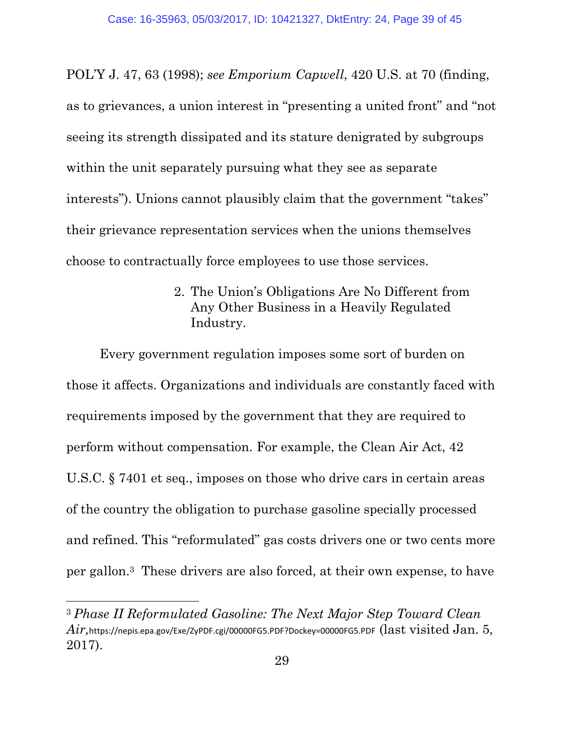POL'Y J. 47, 63 (1998); *see Emporium Capwell*, 420 U.S. at 70 (finding, as to grievances, a union interest in "presenting a united front" and "not seeing its strength dissipated and its stature denigrated by subgroups within the unit separately pursuing what they see as separate interests"). Unions cannot plausibly claim that the government "takes" their grievance representation services when the unions themselves choose to contractually force employees to use those services.

> 2. The Union's Obligations Are No Different from Any Other Business in a Heavily Regulated Industry.

Every government regulation imposes some sort of burden on those it affects. Organizations and individuals are constantly faced with requirements imposed by the government that they are required to perform without compensation. For example, the Clean Air Act, 42 U.S.C. § 7401 et seq., imposes on those who drive cars in certain areas of the country the obligation to purchase gasoline specially processed and refined. This "reformulated" gas costs drivers one or two cents more per gallon.3 These drivers are also forced, at their own expense, to have

 $\overline{a}$ 

<sup>3</sup> *Phase II Reformulated Gasoline: The Next Major Step Toward Clean*   $Air,$ https://nepis.epa.gov/Exe/ZyPDF.cgi/00000FG5.PDF?Dockey=00000FG5.PDF  ${\rm (last\ visited\ Jan.\ 5,}$ 2017).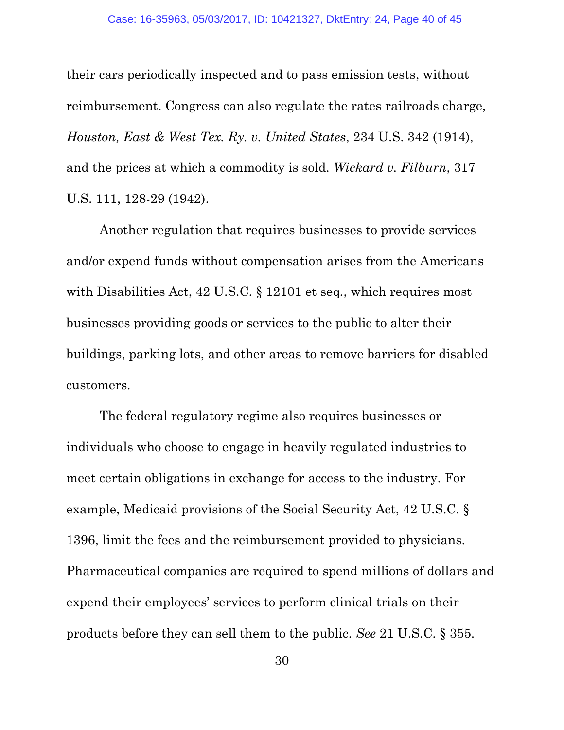their cars periodically inspected and to pass emission tests, without reimbursement. Congress can also regulate the rates railroads charge, *Houston, East & West Tex. Ry. v. United States*, 234 U.S. 342 (1914), and the prices at which a commodity is sold. *Wickard v. Filburn*, 317 U.S. 111, 128-29 (1942).

Another regulation that requires businesses to provide services and/or expend funds without compensation arises from the Americans with Disabilities Act, 42 U.S.C. § 12101 et seq*.*, which requires most businesses providing goods or services to the public to alter their buildings, parking lots, and other areas to remove barriers for disabled customers.

 The federal regulatory regime also requires businesses or individuals who choose to engage in heavily regulated industries to meet certain obligations in exchange for access to the industry. For example, Medicaid provisions of the Social Security Act, 42 U.S.C. § 1396, limit the fees and the reimbursement provided to physicians. Pharmaceutical companies are required to spend millions of dollars and expend their employees' services to perform clinical trials on their products before they can sell them to the public. *See* 21 U.S.C. § 355.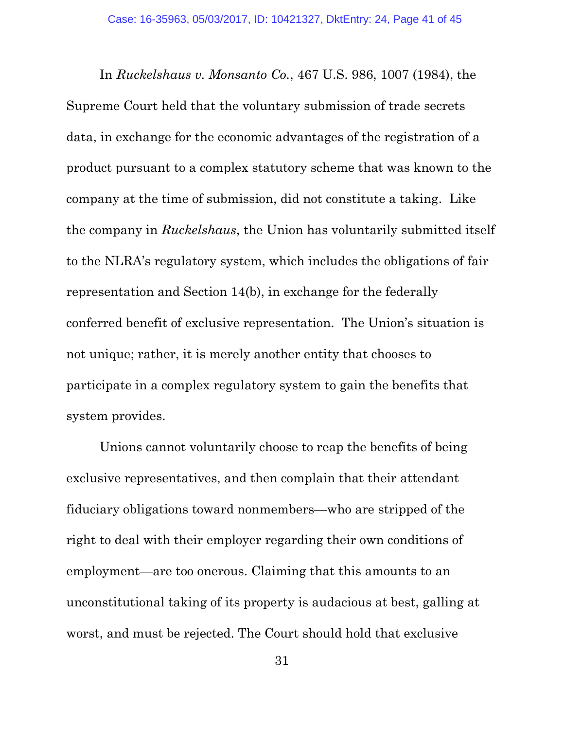In *Ruckelshaus v. Monsanto Co.*, 467 U.S. 986, 1007 (1984), the Supreme Court held that the voluntary submission of trade secrets data, in exchange for the economic advantages of the registration of a product pursuant to a complex statutory scheme that was known to the company at the time of submission, did not constitute a taking. Like the company in *Ruckelshaus*, the Union has voluntarily submitted itself to the NLRA's regulatory system, which includes the obligations of fair representation and Section 14(b), in exchange for the federally conferred benefit of exclusive representation. The Union's situation is not unique; rather, it is merely another entity that chooses to participate in a complex regulatory system to gain the benefits that system provides.

Unions cannot voluntarily choose to reap the benefits of being exclusive representatives, and then complain that their attendant fiduciary obligations toward nonmembers—who are stripped of the right to deal with their employer regarding their own conditions of employment—are too onerous. Claiming that this amounts to an unconstitutional taking of its property is audacious at best, galling at worst, and must be rejected. The Court should hold that exclusive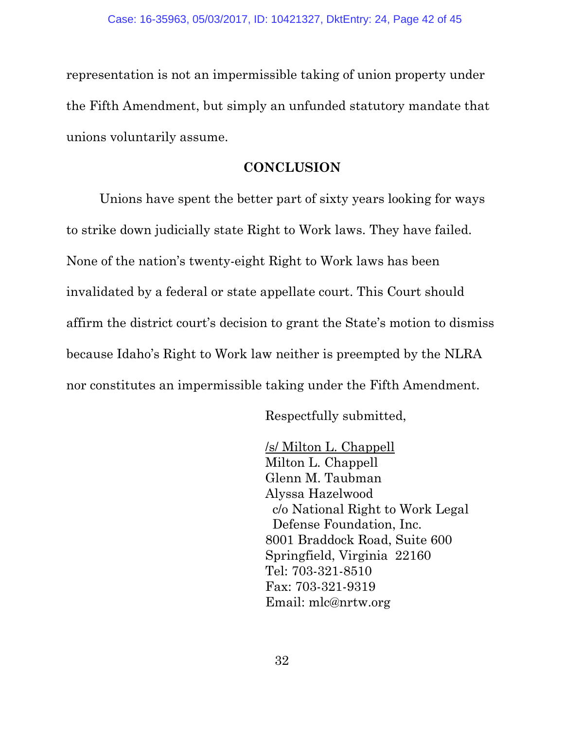representation is not an impermissible taking of union property under the Fifth Amendment, but simply an unfunded statutory mandate that unions voluntarily assume.

#### **CONCLUSION**

Unions have spent the better part of sixty years looking for ways to strike down judicially state Right to Work laws. They have failed. None of the nation's twenty-eight Right to Work laws has been invalidated by a federal or state appellate court. This Court should affirm the district court's decision to grant the State's motion to dismiss because Idaho's Right to Work law neither is preempted by the NLRA nor constitutes an impermissible taking under the Fifth Amendment.

Respectfully submitted,

 /s/ Milton L. Chappell Milton L. Chappell Glenn M. Taubman Alyssa Hazelwood c/o National Right to Work Legal Defense Foundation, Inc. 8001 Braddock Road, Suite 600 Springfield, Virginia 22160 Tel: 703-321-8510 Fax: 703-321-9319 Email: mlc@nrtw.org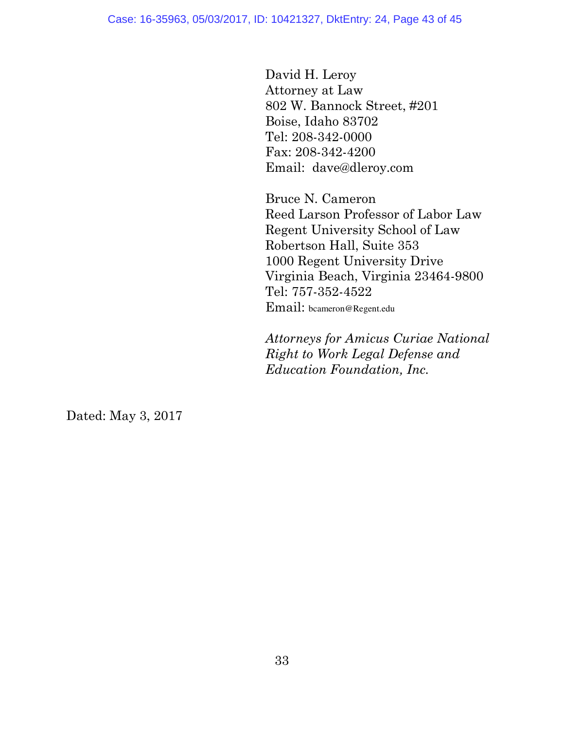Case: 16-35963, 05/03/2017, ID: 10421327, DktEntry: 24, Page 43 of 45

 David H. Leroy Attorney at Law 802 W. Bannock Street, #201 Boise, Idaho 83702 Tel: 208-342-0000 Fax: 208-342-4200 Email: [dave@dleroy.com](mailto:dave@dleroy.com)

 Bruce N. Cameron Reed Larson Professor of Labor Law Regent University School of Law Robertson Hall, Suite 353 1000 Regent University Drive Virginia Beach, Virginia 23464-9800 Tel: 757-352-4522 Email: bcameron@Regent.edu

 *Attorneys for Amicus Curiae National Right to Work Legal Defense and Education Foundation, Inc.* 

Dated: May 3, 2017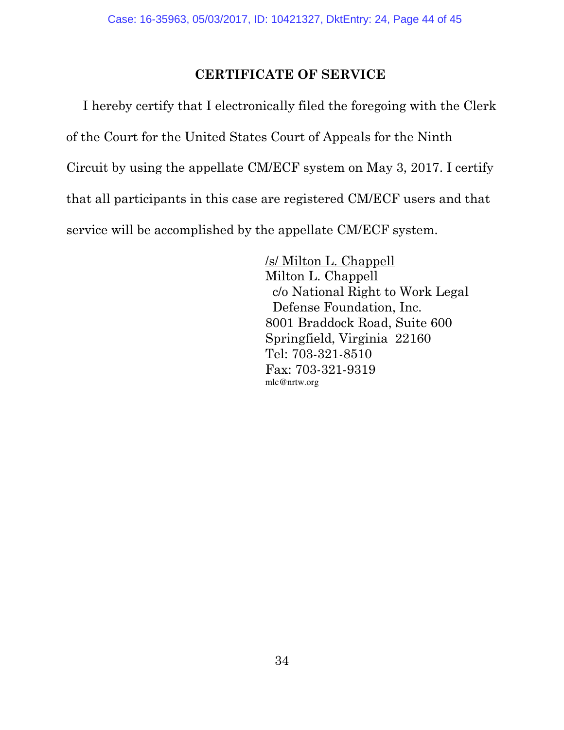### **CERTIFICATE OF SERVICE**

I hereby certify that I electronically filed the foregoing with the Clerk of the Court for the United States Court of Appeals for the Ninth Circuit by using the appellate CM/ECF system on May 3, 2017. I certify that all participants in this case are registered CM/ECF users and that service will be accomplished by the appellate CM/ECF system.

> /s/ Milton L. Chappell Milton L. Chappell c/o National Right to Work Legal Defense Foundation, Inc. 8001 Braddock Road, Suite 600 Springfield, Virginia 22160 Tel: 703-321-8510 Fax: 703-321-9319 mlc@nrtw.org